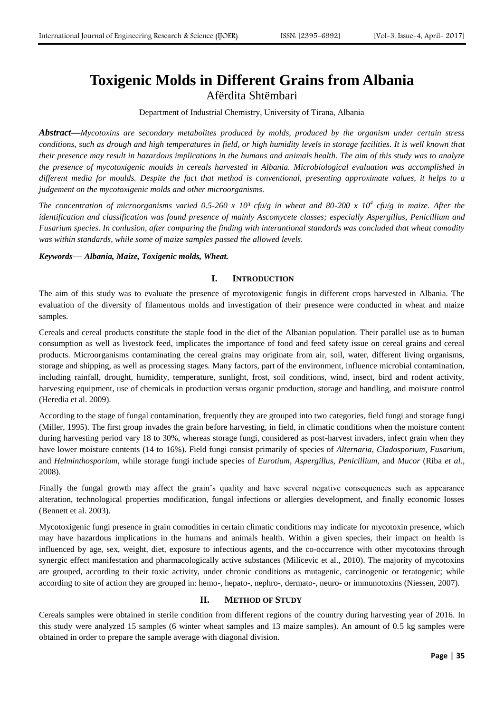# **Toxigenic Molds in Different Grains from Albania** Afërdita Shtëmbari

Department of Industrial Chemistry, University of Tirana, Albania

*Abstract***—***Mycotoxins are secondary metabolites produced by molds, produced by the organism under certain stress conditions, such as drough and high temperatures in field, or high humidity levels in storage facilities. It is well known that their presence may result in hazardous implications in the humans and animals health. The aim of this study was to analyze the presence of mycotoxigenic moulds in cereals harvested in Albania. Microbiological evaluation was accomplished in different media for moulds. Despite the fact that method is conventional, presenting approximate values, it helps to a judgement on the mycotoxigenic molds and other microorganisms.* 

*The concentration of microorganisms varied 0.5-260 x 10³ cfu/g in wheat and 80-200 x 10<sup>4</sup> cfu/g in maize. After the identification and classification was found presence of mainly Ascomycete classes; especially Aspergillus, Penicillium and Fusarium species. In conlusion, after comparing the finding with interantional standards was concluded that wheat comodity was within standards, while some of maize samples passed the allowed levels.*

#### *Keywords***—** *Albania, Maize, Toxigenic molds, Wheat.*

## **I. INTRODUCTION**

The aim of this study was to evaluate the presence of mycotoxigenic fungis in different crops harvested in Albania. The evaluation of the diversity of filamentous molds and investigation of their presence were conducted in wheat and maize samples.

Cereals and cereal products constitute the staple food in the diet of the Albanian population. Their parallel use as to human consumption as well as livestock feed, implicates the importance of food and feed safety issue on cereal grains and cereal products. Microorganisms contaminating the cereal grains may originate from air, soil, water, different living organisms, storage and shipping, as well as processing stages. Many factors, part of the environment, influence microbial contamination, including rainfall, drought, humidity, temperature, sunlight, frost, soil conditions, wind, insect, bird and rodent activity, harvesting equipment, use of chemicals in production versus organic production, storage and handling, and moisture control (Heredia et al. 2009).

According to the stage of fungal contamination, frequently they are grouped into two categories, field fungi and storage fungi (Miller, 1995). The first group invades the grain before harvesting, in field, in climatic conditions when the moisture content during harvesting period vary 18 to 30%, whereas storage fungi, considered as post-harvest invaders, infect grain when they have lower moisture contents (14 to 16%). Field fungi consist primarily of species of *Alternaria*, *Cladosporium*, *Fusarium*, and *Helminthosporium*, while storage fungi include species of *Eurotium*, *Aspergillus*, *Penicillium*, and *Mucor* (Riba *et al*., 2008).

Finally the fungal growth may affect the grain's quality and have several negative consequences such as appearance alteration, technological properties modification, fungal infections or allergies development, and finally economic losses (Bennett et al. 2003).

Mycotoxigenic fungi presence in grain comodities in certain climatic conditions may indicate for mycotoxin presence, which may have hazardous implications in the humans and animals health. Within a given species, their impact on health is influenced by age, sex, weight, diet, exposure to infectious agents, and the co-occurrence with other mycotoxins through synergic effect manifestation and pharmacologically active substances (Milicevic et al., 2010). The majority of mycotoxins are grouped, according to their toxic activity, under chronic conditions as mutagenic, carcinogenic or teratogenic; while according to site of action they are grouped in: hemo-, hepato-, nephro-, dermato-, neuro- or immunotoxins (Niessen, 2007).

## **II. METHOD OF STUDY**

Cereals samples were obtained in sterile condition from different regions of the country during harvesting year of 2016. In this study were analyzed 15 samples (6 winter wheat samples and 13 maize samples). An amount of 0.5 kg samples were obtained in order to prepare the sample average with diagonal division.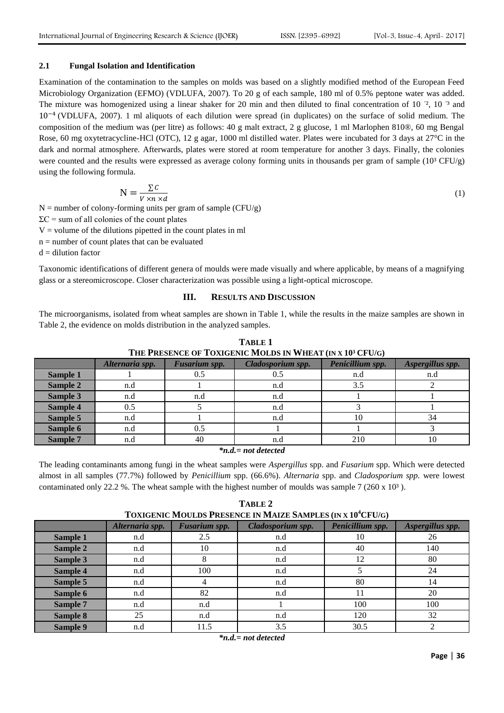## **2.1 Fungal Isolation and Identification**

Examination of the contamination to the samples on molds was based on a slightly modified method of the European Feed Microbiology Organization (EFMO) (VDLUFA, 2007). To 20 g of each sample, 180 ml of 0.5% peptone water was added. The mixture was homogenized using a linear shaker for 20 min and then diluted to final concentration of  $10^{-2}$ ,  $10^{-3}$  and  $10^{-4}$  (VDLUFA, 2007). 1 ml aliquots of each dilution were spread (in duplicates) on the surface of solid medium. The composition of the medium was (per litre) as follows: 40 g malt extract, 2 g glucose, 1 ml Marlophen 810®, 60 mg Bengal Rose, 60 mg oxytetracycline-HCl (OTC), 12 g agar, 1000 ml distilled water. Plates were incubated for 3 days at 27°C in the dark and normal atmosphere. Afterwards, plates were stored at room temperature for another 3 days. Finally, the colonies were counted and the results were expressed as average colony forming units in thousands per gram of sample  $(10<sup>3</sup> CFU/g)$ using the following formula.

$$
N = \frac{\sum C}{V \times n \times d} \tag{1}
$$

 $N =$  number of colony-forming units per gram of sample (CFU/g)

 $\Sigma$ C = sum of all colonies of the count plates

 $V =$  volume of the dilutions pipetted in the count plates in ml

 $n =$  number of count plates that can be evaluated

 $d =$  dilution factor

Taxonomic identifications of different genera of moulds were made visually and where applicable, by means of a magnifying glass or a stereomicroscope. Closer characterization was possible using a light-optical microscope.

# **III. RESULTS AND DISCUSSION**

The microorganisms, isolated from wheat samples are shown in Table 1, while the results in the maize samples are shown in Table 2, the evidence on molds distribution in the analyzed samples.

| THE I RESENCE OF TOAIGENIC MOLDS IN WHEAT (IN A IV" OF UG) |                 |               |                   |                  |                  |  |  |  |  |
|------------------------------------------------------------|-----------------|---------------|-------------------|------------------|------------------|--|--|--|--|
|                                                            | Alternaria spp. | Fusarium spp. | Cladosporium spp. | Penicillium spp. | Aspergillus spp. |  |  |  |  |
| Sample 1                                                   |                 | 0.5           | 0.5               | n.d              | n.d              |  |  |  |  |
| Sample 2                                                   | n.d             |               | n.d               | 3.5              |                  |  |  |  |  |
| <b>Sample 3</b>                                            | n.d             | n.d           | n.d               |                  |                  |  |  |  |  |
| Sample 4                                                   | 0.5             |               | n.d               |                  |                  |  |  |  |  |
| Sample 5                                                   | n.d             |               | n.d               | 10               | 34               |  |  |  |  |
| Sample 6                                                   | n.d             | 0.5           |                   |                  |                  |  |  |  |  |
| Sample 7                                                   | n.d             | 40            | n.d               | 210              | 10               |  |  |  |  |
| $\mathbf{v}$ $\mathbf{v}$<br>.                             |                 |               |                   |                  |                  |  |  |  |  |

**TABLE 1 THE PRESENCE OF TOXIGENIC MOLDS IN WHEAT (IN X 10³ CFU/G)**

*\*n.d.= not detected*

The leading contaminants among fungi in the wheat samples were *Aspergillus* spp. and *Fusarium* spp. Which were detected almost in all samples (77.7%) followed by *Penicillium* spp. (66.6%). *Alternaria* spp. and *Cladosporium spp.* were lowest contaminated only 22.2 %. The wheat sample with the highest number of moulds was sample 7 (260 x 10<sup>3</sup>).

**TABLE 2 TOXIGENIC MOULDS PRESENCE IN MAIZE SAMPLES (IN X 10<sup>4</sup>CFU/G)**

|          | Alternaria spp. | Fusarium spp. | Cladosporium spp. | Penicillium spp. | Aspergillus spp. |
|----------|-----------------|---------------|-------------------|------------------|------------------|
| Sample 1 | n.d             | 2.5           | n.d               | 10               | 26               |
| Sample 2 | n.d             | 10            | n.d               | 40               | 140              |
| Sample 3 | n.d             |               | n.d               | 12               | 80               |
| Sample 4 | n.d             | 100           | n.d               |                  | 24               |
| Sample 5 | n.d             |               | n.d               | 80               | 14               |
| Sample 6 | n.d             | 82            | n.d               | 11               | 20               |
| Sample 7 | n.d             | n.d           |                   | 100              | 100              |
| Sample 8 | 25              | n.d           | n.d               | 120              | 32               |
| Sample 9 | n.d             | 11.5          | 3.5               | 30.5             |                  |

*\*n.d.= not detected*